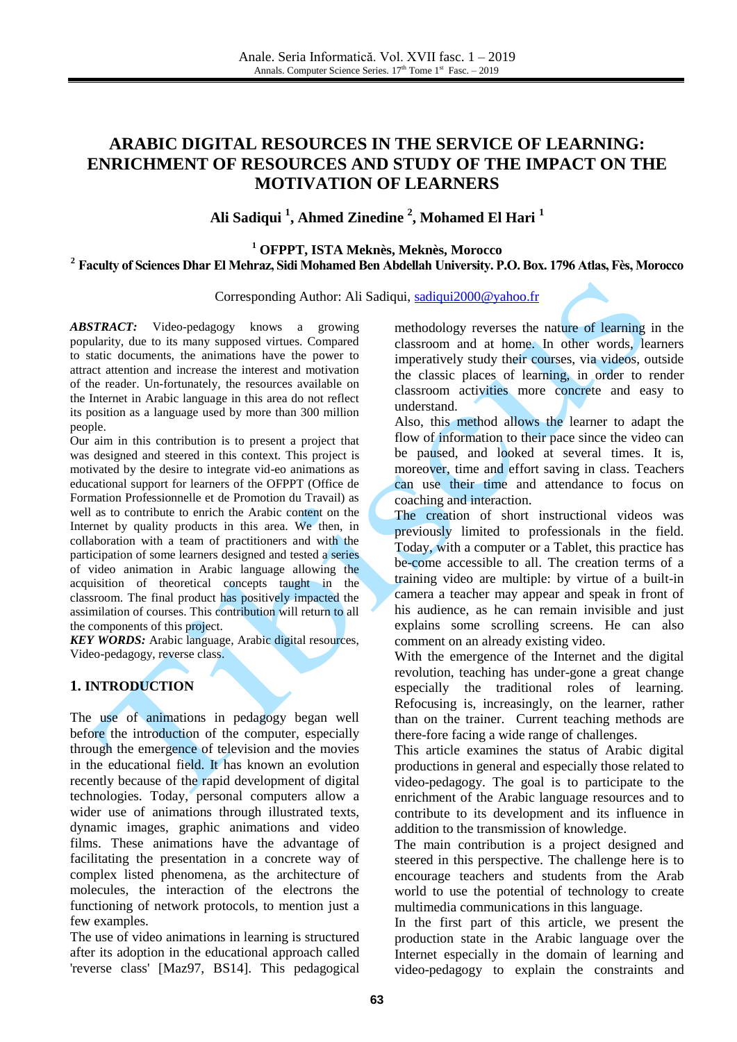# **ARABIC DIGITAL RESOURCES IN THE SERVICE OF LEARNING: ENRICHMENT OF RESOURCES AND STUDY OF THE IMPACT ON THE MOTIVATION OF LEARNERS**

# **Ali Sadiqui <sup>1</sup> , Ahmed Zinedine <sup>2</sup> , Mohamed El Hari <sup>1</sup>**

#### **<sup>1</sup> OFPPT, ISTA Meknès, Meknès, Morocco <sup>2</sup> Faculty of Sciences Dhar El Mehraz, Sidi Mohamed Ben Abdellah University. P.O. Box. 1796 Atlas, Fès, Morocco**

Corresponding Author: Ali Sadiqui, [sadiqui2000@yahoo.fr](mailto:sadiqui2000@yahoo.fr)

*ABSTRACT:* Video-pedagogy knows a growing popularity, due to its many supposed virtues. Compared to static documents, the animations have the power to attract attention and increase the interest and motivation of the reader. Un-fortunately, the resources available on the Internet in Arabic language in this area do not reflect its position as a language used by more than 300 million people.

Our aim in this contribution is to present a project that was designed and steered in this context. This project is motivated by the desire to integrate vid-eo animations as educational support for learners of the OFPPT (Office de Formation Professionnelle et de Promotion du Travail) as well as to contribute to enrich the Arabic content on the Internet by quality products in this area. We then, in collaboration with a team of practitioners and with the participation of some learners designed and tested a series of video animation in Arabic language allowing the acquisition of theoretical concepts taught in the classroom. The final product has positively impacted the assimilation of courses. This contribution will return to all the components of this project.

*KEY WORDS:* Arabic language, Arabic digital resources, Video-pedagogy, reverse class.

## **1. INTRODUCTION**

The use of animations in pedagogy began well before the introduction of the computer, especially through the emergence of television and the movies in the educational field. It has known an evolution recently because of the rapid development of digital technologies. Today, personal computers allow a wider use of animations through illustrated texts, dynamic images, graphic animations and video films. These animations have the advantage of facilitating the presentation in a concrete way of complex listed phenomena, as the architecture of molecules, the interaction of the electrons the functioning of network protocols, to mention just a few examples.

The use of video animations in learning is structured after its adoption in the educational approach called 'reverse class' [Maz97, BS14]. This pedagogical methodology reverses the nature of learning in the classroom and at home. In other words, learners imperatively study their courses, via videos, outside the classic places of learning, in order to render classroom activities more concrete and easy to understand.

Also, this method allows the learner to adapt the flow of information to their pace since the video can be paused, and looked at several times. It is, moreover, time and effort saving in class. Teachers can use their time and attendance to focus on coaching and interaction.

The creation of short instructional videos was previously limited to professionals in the field. Today, with a computer or a Tablet, this practice has be-come accessible to all. The creation terms of a training video are multiple: by virtue of a built-in camera a teacher may appear and speak in front of his audience, as he can remain invisible and just explains some scrolling screens. He can also comment on an already existing video.

With the emergence of the Internet and the digital revolution, teaching has under-gone a great change especially the traditional roles of learning. Refocusing is, increasingly, on the learner, rather than on the trainer. Current teaching methods are there-fore facing a wide range of challenges.

This article examines the status of Arabic digital productions in general and especially those related to video-pedagogy. The goal is to participate to the enrichment of the Arabic language resources and to contribute to its development and its influence in addition to the transmission of knowledge.

The main contribution is a project designed and steered in this perspective. The challenge here is to encourage teachers and students from the Arab world to use the potential of technology to create multimedia communications in this language.

In the first part of this article, we present the production state in the Arabic language over the Internet especially in the domain of learning and video-pedagogy to explain the constraints and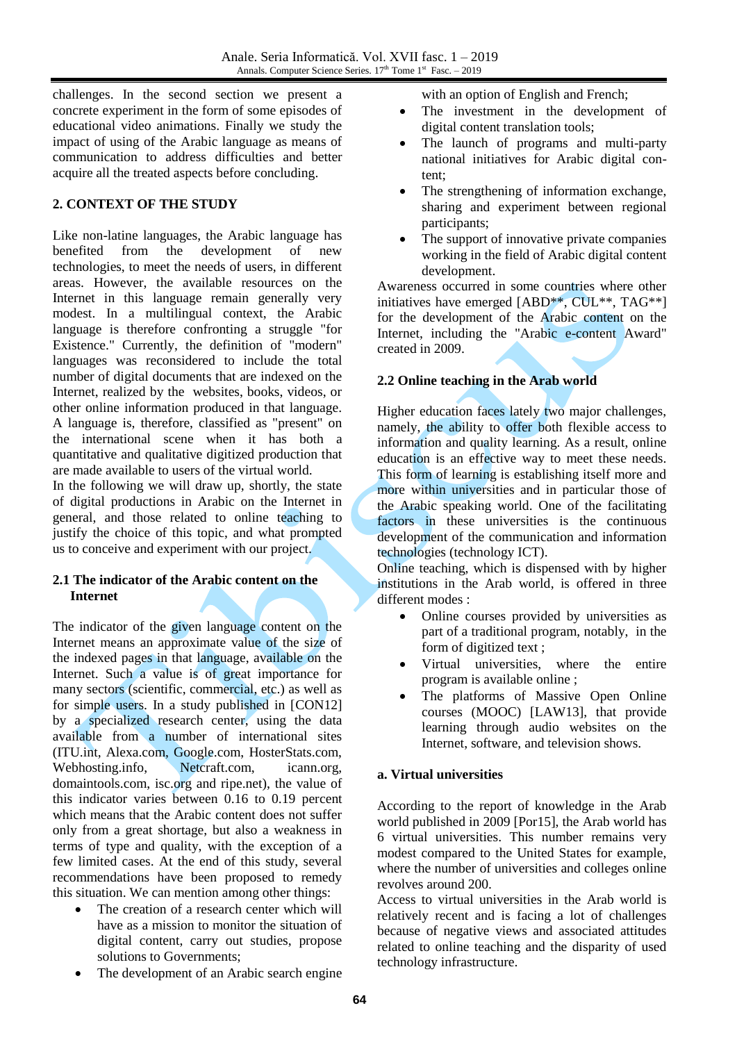challenges. In the second section we present a concrete experiment in the form of some episodes of educational video animations. Finally we study the impact of using of the Arabic language as means of communication to address difficulties and better acquire all the treated aspects before concluding.

## **2. CONTEXT OF THE STUDY**

Like non-latine languages, the Arabic language has<br>benefited from the development of new benefited from the development of new technologies, to meet the needs of users, in different areas. However, the available resources on the Internet in this language remain generally very modest. In a multilingual context, the Arabic language is therefore confronting a struggle "for Existence." Currently, the definition of "modern" languages was reconsidered to include the total number of digital documents that are indexed on the Internet, realized by the websites, books, videos, or other online information produced in that language. A language is, therefore, classified as "present" on the international scene when it has both a quantitative and qualitative digitized production that are made available to users of the virtual world.

In the following we will draw up, shortly, the state of digital productions in Arabic on the Internet in general, and those related to online teaching to justify the choice of this topic, and what prompted us to conceive and experiment with our project.

## **2.1 The indicator of the Arabic content on the Internet**

The indicator of the given language content on the Internet means an approximate value of the size of the indexed pages in that language, available on the Internet. Such a value is of great importance for many sectors (scientific, commercial, etc.) as well as for simple users. In a study published in [CON12] by a specialized research center, using the data available from a number of international sites (ITU.int, Alexa.com, Google.com, HosterStats.com, Webhosting.info, Netcraft.com, icann.org, domaintools.com, isc.org and ripe.net), the value of this indicator varies between 0.16 to 0.19 percent which means that the Arabic content does not suffer only from a great shortage, but also a weakness in terms of type and quality, with the exception of a few limited cases. At the end of this study, several recommendations have been proposed to remedy this situation. We can mention among other things:

- The creation of a research center which will have as a mission to monitor the situation of digital content, carry out studies, propose solutions to Governments;
- The development of an Arabic search engine

with an option of English and French;

- The investment in the development of digital content translation tools;
- The launch of programs and multi-party national initiatives for Arabic digital content;
- The strengthening of information exchange, sharing and experiment between regional participants;
- The support of innovative private companies working in the field of Arabic digital content development.

Awareness occurred in some countries where other initiatives have emerged [ABD\*\*, CUL\*\*, TAG\*\*] for the development of the Arabic content on the Internet, including the "Arabic e-content Award" created in 2009.

## **2.2 Online teaching in the Arab world**

Higher education faces lately two major challenges, namely, the ability to offer both flexible access to information and quality learning. As a result, online education is an effective way to meet these needs. This form of learning is establishing itself more and more within universities and in particular those of the Arabic speaking world. One of the facilitating factors in these universities is the continuous development of the communication and information technologies (technology ICT).

Online teaching, which is dispensed with by higher institutions in the Arab world, is offered in three different modes :

- Online courses provided by universities as part of a traditional program, notably, in the form of digitized text ;
- Virtual universities, where the entire program is available online ;
- The platforms of Massive Open Online courses (MOOC) [LAW13], that provide learning through audio websites on the Internet, software, and television shows.

## **a. Virtual universities**

According to the report of knowledge in the Arab world published in 2009 [Por15], the Arab world has 6 virtual universities. This number remains very modest compared to the United States for example, where the number of universities and colleges online revolves around 200.

Access to virtual universities in the Arab world is relatively recent and is facing a lot of challenges because of negative views and associated attitudes related to online teaching and the disparity of used technology infrastructure.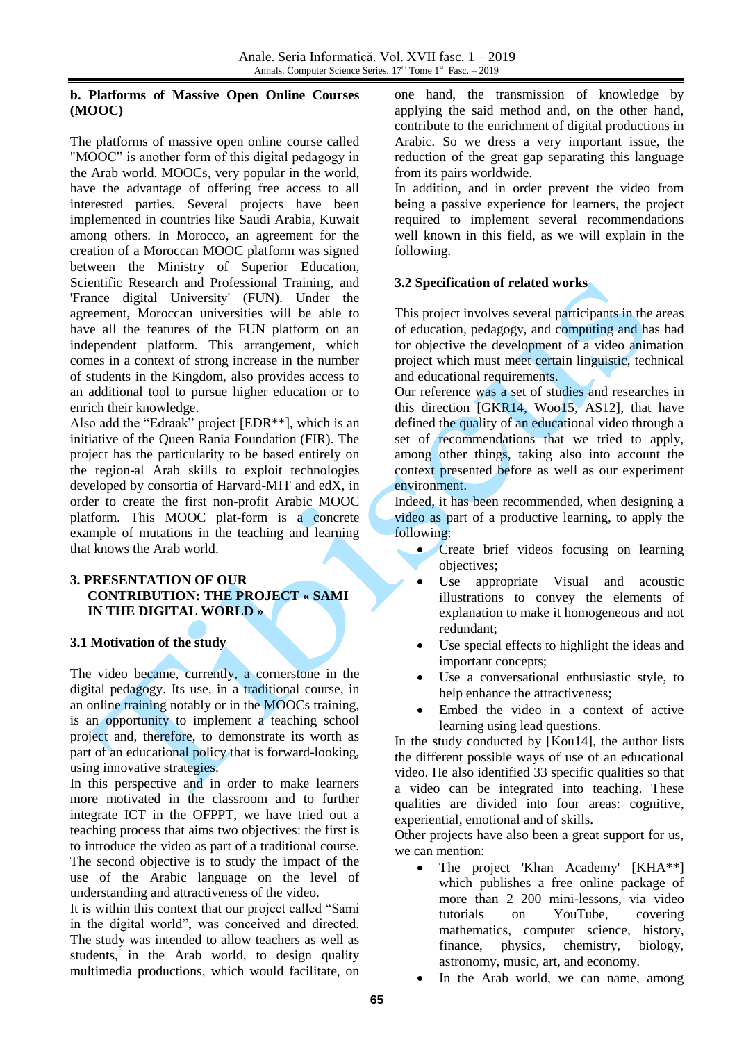#### **b. Platforms of Massive Open Online Courses (MOOC)**

The platforms of massive open online course called "MOOC" is another form of this digital pedagogy in the Arab world. MOOCs, very popular in the world, have the advantage of offering free access to all interested parties. Several projects have been implemented in countries like Saudi Arabia, Kuwait among others. In Morocco, an agreement for the creation of a Moroccan MOOC platform was signed between the Ministry of Superior Education, Scientific Research and Professional Training, and 'France digital University' (FUN). Under the agreement, Moroccan universities will be able to have all the features of the FUN platform on an independent platform. This arrangement, which comes in a context of strong increase in the number of students in the Kingdom, also provides access to an additional tool to pursue higher education or to enrich their knowledge.

Also add the "Edraak" project [EDR\*\*], which is an initiative of the Queen Rania Foundation (FIR). The project has the particularity to be based entirely on the region-al Arab skills to exploit technologies developed by consortia of Harvard-MIT and edX, in order to create the first non-profit Arabic MOOC platform. This MOOC plat-form is a concrete example of mutations in the teaching and learning that knows the Arab world.

#### **3. PRESENTATION OF OUR CONTRIBUTION: THE PROJECT « SAMI IN THE DIGITAL WORLD »**

## **3.1 Motivation of the study**

The video became, currently, a cornerstone in the digital pedagogy. Its use, in a traditional course, in an online training notably or in the MOOCs training, is an opportunity to implement a teaching school project and, therefore, to demonstrate its worth as part of an educational policy that is forward-looking, using innovative strategies.

In this perspective and in order to make learners more motivated in the classroom and to further integrate ICT in the OFPPT, we have tried out a teaching process that aims two objectives: the first is to introduce the video as part of a traditional course. The second objective is to study the impact of the use of the Arabic language on the level of understanding and attractiveness of the video.

It is within this context that our project called "Sami in the digital world", was conceived and directed. The study was intended to allow teachers as well as students, in the Arab world, to design quality multimedia productions, which would facilitate, on one hand, the transmission of knowledge by applying the said method and, on the other hand, contribute to the enrichment of digital productions in Arabic. So we dress a very important issue, the reduction of the great gap separating this language from its pairs worldwide.

In addition, and in order prevent the video from being a passive experience for learners, the project required to implement several recommendations well known in this field, as we will explain in the following.

## **3.2 Specification of related works**

This project involves several participants in the areas of education, pedagogy, and computing and has had for objective the development of a video animation project which must meet certain linguistic, technical and educational requirements.

Our reference was a set of studies and researches in this direction [GKR14, Woo15, AS12], that have defined the quality of an educational video through a set of recommendations that we tried to apply, among other things, taking also into account the context presented before as well as our experiment environment.

Indeed, it has been recommended, when designing a video as part of a productive learning, to apply the following:

- Create brief videos focusing on learning objectives;
- Use appropriate Visual and acoustic illustrations to convey the elements of explanation to make it homogeneous and not redundant;
- Use special effects to highlight the ideas and important concepts;
- Use a conversational enthusiastic style, to help enhance the attractiveness;
- Embed the video in a context of active learning using lead questions.

In the study conducted by [Kou14], the author lists the different possible ways of use of an educational video. He also identified 33 specific qualities so that a video can be integrated into teaching. These qualities are divided into four areas: cognitive, experiential, emotional and of skills.

Other projects have also been a great support for us, we can mention:

- The project 'Khan Academy' [KHA\*\*] which publishes a free online package of more than 2 200 mini-lessons, via video tutorials on YouTube, covering mathematics, computer science, history, finance, physics, chemistry, biology, astronomy, music, art, and economy.
- In the Arab world, we can name, among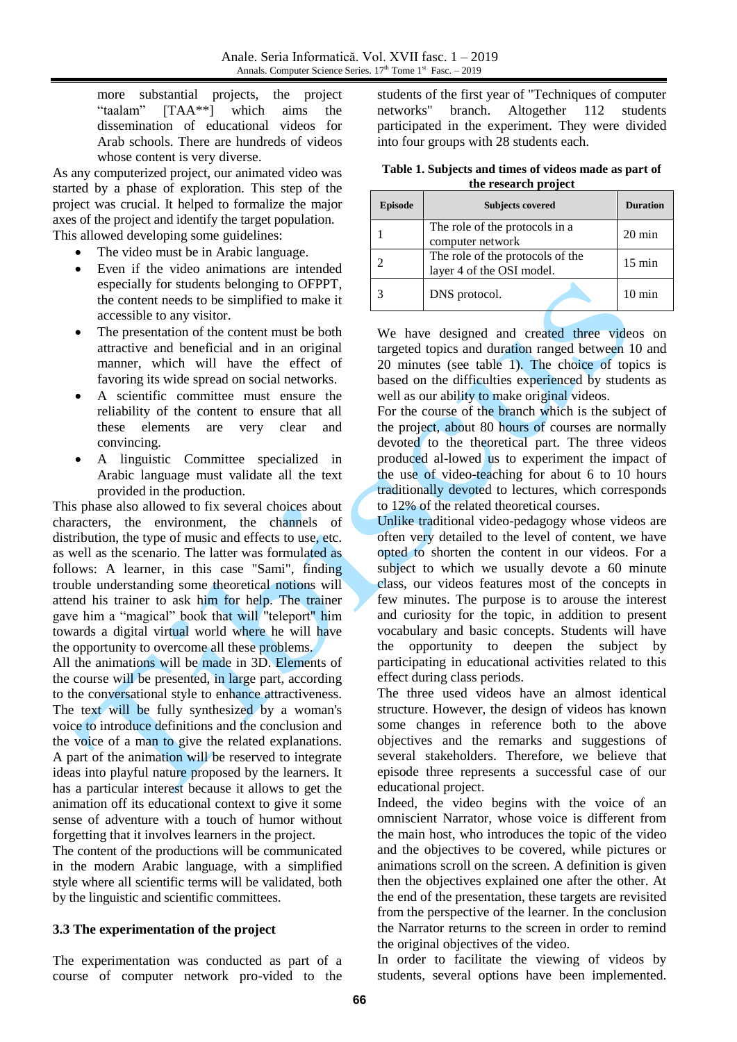more substantial projects, the project "taalam" [TAA\*\*] which aims the dissemination of educational videos for Arab schools. There are hundreds of videos whose content is very diverse.

As any computerized project, our animated video was started by a phase of exploration. This step of the project was crucial. It helped to formalize the major axes of the project and identify the target population. This allowed developing some guidelines:

- The video must be in Arabic language.
- Even if the video animations are intended especially for students belonging to OFPPT, the content needs to be simplified to make it accessible to any visitor.
- The presentation of the content must be both attractive and beneficial and in an original manner, which will have the effect of favoring its wide spread on social networks.
- A scientific committee must ensure the reliability of the content to ensure that all these elements are very clear and convincing.
- A linguistic Committee specialized in Arabic language must validate all the text provided in the production.

This phase also allowed to fix several choices about characters, the environment, the channels of distribution, the type of music and effects to use, etc. as well as the scenario. The latter was formulated as follows: A learner, in this case "Sami", finding trouble understanding some theoretical notions will attend his trainer to ask him for help. The trainer gave him a "magical" book that will "teleport" him towards a digital virtual world where he will have the opportunity to overcome all these problems.

All the animations will be made in 3D. Elements of the course will be presented, in large part, according to the conversational style to enhance attractiveness. The text will be fully synthesized by a woman's voice to introduce definitions and the conclusion and the voice of a man to give the related explanations. A part of the animation will be reserved to integrate ideas into playful nature proposed by the learners. It has a particular interest because it allows to get the animation off its educational context to give it some sense of adventure with a touch of humor without forgetting that it involves learners in the project.

The content of the productions will be communicated in the modern Arabic language, with a simplified style where all scientific terms will be validated, both by the linguistic and scientific committees.

## **3.3 The experimentation of the project**

The experimentation was conducted as part of a course of computer network pro-vided to the

students of the first year of "Techniques of computer networks" branch. Altogether 112 students participated in the experiment. They were divided into four groups with 28 students each.

**Table 1. Subjects and times of videos made as part of the research project**

| <b>Episode</b> | <b>Subjects covered</b>                                       | <b>Duration</b>  |
|----------------|---------------------------------------------------------------|------------------|
|                | The role of the protocols in a<br>computer network            | $20 \text{ min}$ |
|                | The role of the protocols of the<br>layer 4 of the OSI model. | $15 \text{ min}$ |
|                | DNS protocol.                                                 | $10 \text{ min}$ |

We have designed and created three videos on targeted topics and duration ranged between 10 and 20 minutes (see table 1). The choice of topics is based on the difficulties experienced by students as well as our ability to make original videos.

For the course of the branch which is the subject of the project, about 80 hours of courses are normally devoted to the theoretical part. The three videos produced al-lowed us to experiment the impact of the use of video-teaching for about 6 to 10 hours traditionally devoted to lectures, which corresponds to 12% of the related theoretical courses.

Unlike traditional video-pedagogy whose videos are often very detailed to the level of content, we have opted to shorten the content in our videos. For a subject to which we usually devote a 60 minute class, our videos features most of the concepts in few minutes. The purpose is to arouse the interest and curiosity for the topic, in addition to present vocabulary and basic concepts. Students will have the opportunity to deepen the subject by participating in educational activities related to this effect during class periods.

The three used videos have an almost identical structure. However, the design of videos has known some changes in reference both to the above objectives and the remarks and suggestions of several stakeholders. Therefore, we believe that episode three represents a successful case of our educational project.

Indeed, the video begins with the voice of an omniscient Narrator, whose voice is different from the main host, who introduces the topic of the video and the objectives to be covered, while pictures or animations scroll on the screen. A definition is given then the objectives explained one after the other. At the end of the presentation, these targets are revisited from the perspective of the learner. In the conclusion the Narrator returns to the screen in order to remind the original objectives of the video.

In order to facilitate the viewing of videos by students, several options have been implemented.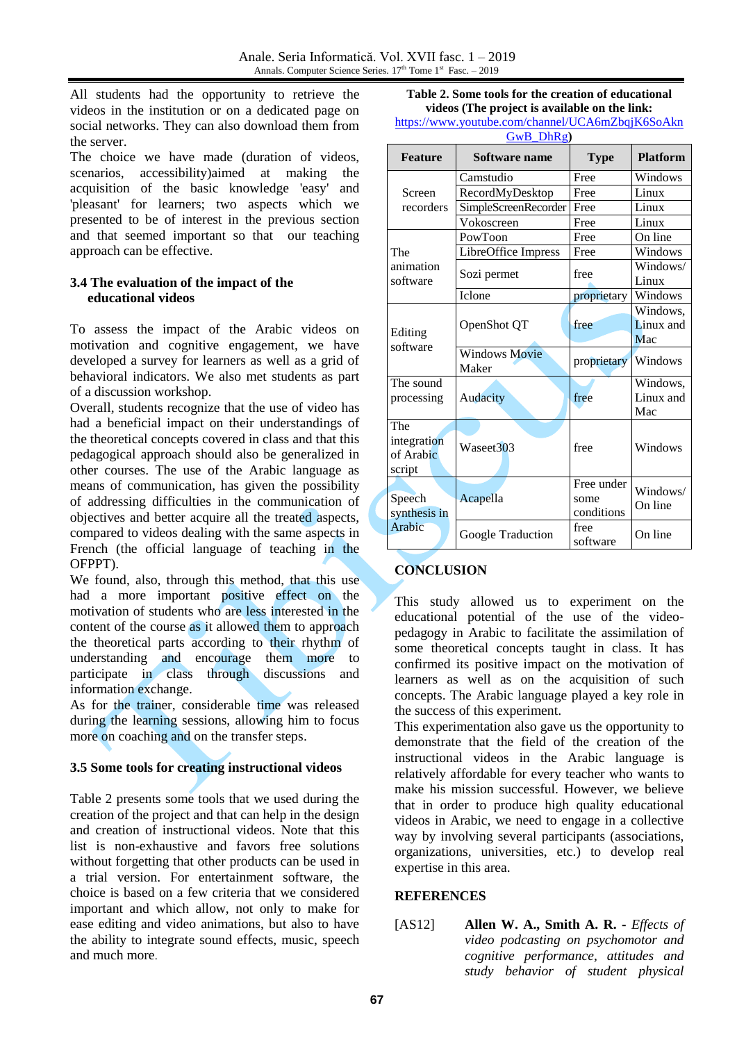All students had the opportunity to retrieve the videos in the institution or on a dedicated page on social networks. They can also download them from the server.

The choice we have made (duration of videos, scenarios, accessibility)aimed at making the acquisition of the basic knowledge 'easy' and 'pleasant' for learners; two aspects which we presented to be of interest in the previous section and that seemed important so that our teaching approach can be effective.

#### **3.4 The evaluation of the impact of the educational videos**

To assess the impact of the Arabic videos on motivation and cognitive engagement, we have developed a survey for learners as well as a grid of behavioral indicators. We also met students as part of a discussion workshop.

Overall, students recognize that the use of video has had a beneficial impact on their understandings of the theoretical concepts covered in class and that this pedagogical approach should also be generalized in other courses. The use of the Arabic language as means of communication, has given the possibility of addressing difficulties in the communication of objectives and better acquire all the treated aspects, compared to videos dealing with the same aspects in French (the official language of teaching in the OFPPT).

We found, also, through this method, that this use had a more important positive effect on the motivation of students who are less interested in the content of the course as it allowed them to approach the theoretical parts according to their rhythm of understanding and encourage them more to participate in class through discussions and information exchange.

As for the trainer, considerable time was released during the learning sessions, allowing him to focus more on coaching and on the transfer steps.

## **3.5 Some tools for creating instructional videos**

Table 2 presents some tools that we used during the creation of the project and that can help in the design and creation of instructional videos. Note that this list is non-exhaustive and favors free solutions without forgetting that other products can be used in a trial version. For entertainment software, the choice is based on a few criteria that we considered important and which allow, not only to make for ease editing and video animations, but also to have the ability to integrate sound effects, music, speech and much more.

| Table 2. Some tools for the creation of educational         |
|-------------------------------------------------------------|
| videos (The project is available on the link:               |
| $http://www.voutha.com/channel/HC\land 6mZhaiK6S_0\land kn$ |

| https://www.youtube.com/channel/UCA6mZbqjK6SoAkn |
|--------------------------------------------------|
| GwB DhRg)                                        |

| <b>Feature</b>      | <b>Software name</b>          | <b>Type</b>      | <b>Platform</b>     |
|---------------------|-------------------------------|------------------|---------------------|
| Screen              | Camstudio                     | Free             | Windows             |
|                     | RecordMyDesktop               | Free             | Linux               |
| recorders           | SimpleScreenRecorder          | Free             | Linux               |
|                     | Vokoscreen                    | Free             | Linux               |
|                     | PowToon                       | Free             | On line             |
| The                 | LibreOffice Impress           | Free             | Windows             |
| animation           | Sozi permet                   | free             | Windows/            |
| software            |                               |                  | Linux               |
|                     | Iclone                        | proprietary      | Windows             |
|                     |                               |                  | Windows,            |
|                     | OpenShot QT                   | free             | Linux and           |
| Editing<br>software |                               |                  | Mac                 |
|                     | <b>Windows Movie</b><br>Maker | proprietary      | Windows             |
| The sound           |                               |                  | Windows,            |
| processing          | Audacity                      | free             | Linux and<br>Mac    |
| The                 |                               |                  |                     |
| integration         | Waseet <sub>303</sub>         | free             | Windows             |
| of Arabic           |                               |                  |                     |
| script              |                               |                  |                     |
|                     | Acapella                      | Free under       | Windows/<br>On line |
| Speech              |                               | some             |                     |
| synthesis in        |                               | conditions       |                     |
| Arabic              | Google Traduction             | free<br>software | On line             |

# **CONCLUSION**

This study allowed us to experiment on the educational potential of the use of the videopedagogy in Arabic to facilitate the assimilation of some theoretical concepts taught in class. It has confirmed its positive impact on the motivation of learners as well as on the acquisition of such concepts. The Arabic language played a key role in the success of this experiment.

This experimentation also gave us the opportunity to demonstrate that the field of the creation of the instructional videos in the Arabic language is relatively affordable for every teacher who wants to make his mission successful. However, we believe that in order to produce high quality educational videos in Arabic, we need to engage in a collective way by involving several participants (associations, organizations, universities, etc.) to develop real expertise in this area.

#### **REFERENCES**

[AS12] **Allen W. A., Smith A. R. -** *Effects of video podcasting on psychomotor and cognitive performance, attitudes and study behavior of student physical*